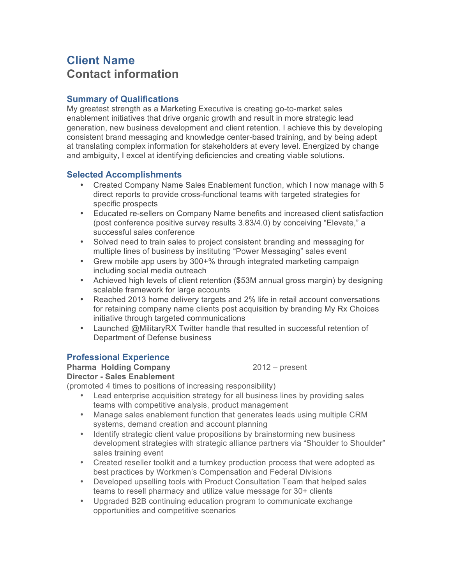## **Client Name Contact information**

## **Summary of Qualifications**

My greatest strength as a Marketing Executive is creating go-to-market sales enablement initiatives that drive organic growth and result in more strategic lead generation, new business development and client retention. I achieve this by developing consistent brand messaging and knowledge center-based training, and by being adept at translating complex information for stakeholders at every level. Energized by change and ambiguity, I excel at identifying deficiencies and creating viable solutions.

## **Selected Accomplishments**

- Created Company Name Sales Enablement function, which I now manage with 5 direct reports to provide cross-functional teams with targeted strategies for specific prospects
- Educated re-sellers on Company Name benefits and increased client satisfaction (post conference positive survey results 3.83/4.0) by conceiving "Elevate," a successful sales conference
- Solved need to train sales to project consistent branding and messaging for multiple lines of business by instituting "Power Messaging" sales event
- Grew mobile app users by 300+% through integrated marketing campaign including social media outreach
- Achieved high levels of client retention (\$53M annual gross margin) by designing scalable framework for large accounts
- Reached 2013 home delivery targets and 2% life in retail account conversations for retaining company name clients post acquisition by branding My Rx Choices initiative through targeted communications
- Launched @MilitaryRX Twitter handle that resulted in successful retention of Department of Defense business

## **Professional Experience**

**Pharma Holding Company** 2012 – present

**Director - Sales Enablement**

(promoted 4 times to positions of increasing responsibility)

- Lead enterprise acquisition strategy for all business lines by providing sales teams with competitive analysis, product management
- Manage sales enablement function that generates leads using multiple CRM systems, demand creation and account planning
- Identify strategic client value propositions by brainstorming new business development strategies with strategic alliance partners via "Shoulder to Shoulder" sales training event
- Created reseller toolkit and a turnkey production process that were adopted as best practices by Workmen's Compensation and Federal Divisions
- Developed upselling tools with Product Consultation Team that helped sales teams to resell pharmacy and utilize value message for 30+ clients
- Upgraded B2B continuing education program to communicate exchange opportunities and competitive scenarios